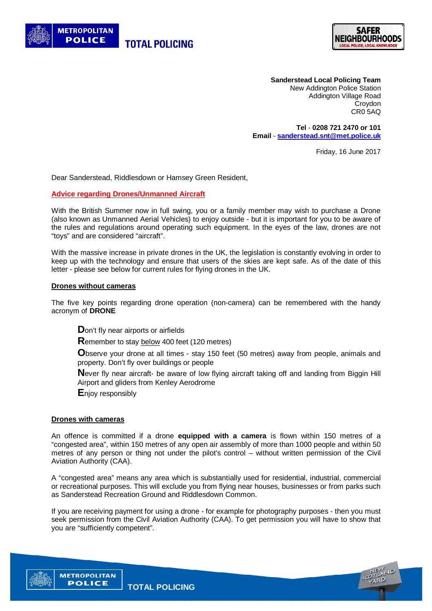



**Sanderstead Local Policing Team** New Addington Police Station Addington Village Road Croydon CR0 5AQ

**Tel** - **0208 721 2470 or 101 Email** - **sanderstead.snt@met.police.uk**

Friday, 16 June 2017

Dear Sanderstead, Riddlesdown or Hamsey Green Resident,

## **Advice regarding Drones/Unmanned Aircraft**

With the British Summer now in full swing, you or a family member may wish to purchase a Drone (also known as Unmanned Aerial Vehicles) to enjoy outside - but it is important for you to be aware of the rules and regulations around operating such equipment. In the eyes of the law, drones are not "toys" and are considered "aircraft".

With the massive increase in private drones in the UK, the legislation is constantly evolving in order to keep up with the technology and ensure that users of the skies are kept safe. As of the date of this letter - please see below for current rules for flying drones in the UK.

## **Drones without cameras**

The five key points regarding drone operation (non-camera) can be remembered with the handy acronym of **DRONE**

**D**on't fly near airports or airfields

**R**emember to stay below 400 feet (120 metres)

**O**bserve your drone at all times - stay 150 feet (50 metres) away from people, animals and property. Don't fly over buildings or people

**N**ever fly near aircraft- be aware of low flying aircraft taking off and landing from Biggin Hill Airport and gliders from Kenley Aerodrome

**E**njoy responsibly

## **Drones with cameras**

**METROPOLITAN** 

An offence is committed if a drone **equipped with a camera** is flown within 150 metres of a "congested area", within 150 metres of any open air assembly of more than 1000 people and within 50 metres of any person or thing not under the pilot's control – without written permission of the Civil Aviation Authority (CAA).

A "congested area" means any area which is substantially used for residential, industrial, commercial or recreational purposes. This will exclude you from flying near houses, businesses or from parks such as Sanderstead Recreation Ground and Riddlesdown Common.

If you are receiving payment for using a drone - for example for photography purposes - then you must seek permission from the Civil Aviation Authority (CAA). To get permission you will have to show that you are "sufficiently competent".